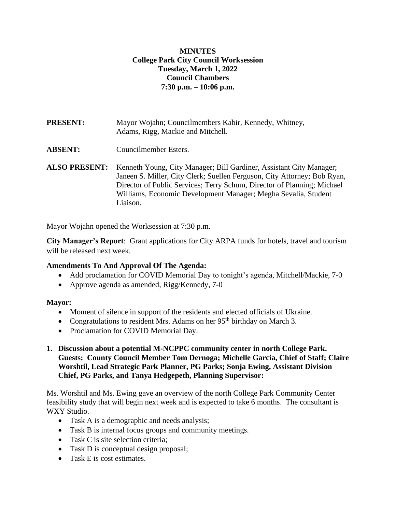## **MINUTES College Park City Council Worksession Tuesday, March 1, 2022 Council Chambers 7:30 p.m. – 10:06 p.m.**

**PRESENT:** Mayor Wojahn; Councilmembers Kabir, Kennedy, Whitney, Adams, Rigg, Mackie and Mitchell.

- **ABSENT:** Councilmember Esters.
- **ALSO PRESENT:** Kenneth Young, City Manager; Bill Gardiner, Assistant City Manager; Janeen S. Miller, City Clerk; Suellen Ferguson, City Attorney; Bob Ryan, Director of Public Services; Terry Schum, Director of Planning; Michael Williams, Economic Development Manager; Megha Sevalia, Student Liaison.

Mayor Wojahn opened the Worksession at 7:30 p.m.

**City Manager's Report**: Grant applications for City ARPA funds for hotels, travel and tourism will be released next week.

## **Amendments To And Approval Of The Agenda:**

- Add proclamation for COVID Memorial Day to tonight's agenda, Mitchell/Mackie, 7-0
- Approve agenda as amended, Rigg/Kennedy, 7-0

#### **Mayor:**

- Moment of silence in support of the residents and elected officials of Ukraine.
- Congratulations to resident Mrs. Adams on her  $95<sup>th</sup>$  birthday on March 3.
- Proclamation for COVID Memorial Day.
- **1. Discussion about a potential M-NCPPC community center in north College Park. Guests: County Council Member Tom Dernoga; Michelle Garcia, Chief of Staff; Claire Worshtil, Lead Strategic Park Planner, PG Parks; Sonja Ewing, Assistant Division Chief, PG Parks, and Tanya Hedgepeth, Planning Supervisor:**

Ms. Worshtil and Ms. Ewing gave an overview of the north College Park Community Center feasibility study that will begin next week and is expected to take 6 months. The consultant is WXY Studio.

- Task A is a demographic and needs analysis;
- Task B is internal focus groups and community meetings.
- Task C is site selection criteria;
- Task D is conceptual design proposal;
- Task E is cost estimates.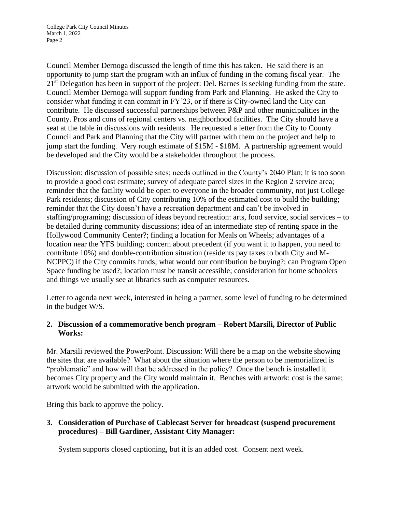Council Member Dernoga discussed the length of time this has taken. He said there is an opportunity to jump start the program with an influx of funding in the coming fiscal year. The 21<sup>st</sup> Delegation has been in support of the project: Del. Barnes is seeking funding from the state. Council Member Dernoga will support funding from Park and Planning. He asked the City to consider what funding it can commit in FY'23, or if there is City-owned land the City can contribute. He discussed successful partnerships between P&P and other municipalities in the County. Pros and cons of regional centers vs. neighborhood facilities. The City should have a seat at the table in discussions with residents. He requested a letter from the City to County Council and Park and Planning that the City will partner with them on the project and help to jump start the funding. Very rough estimate of \$15M - \$18M. A partnership agreement would be developed and the City would be a stakeholder throughout the process.

Discussion: discussion of possible sites; needs outlined in the County's 2040 Plan; it is too soon to provide a good cost estimate; survey of adequate parcel sizes in the Region 2 service area; reminder that the facility would be open to everyone in the broader community, not just College Park residents; discussion of City contributing 10% of the estimated cost to build the building; reminder that the City doesn't have a recreation department and can't be involved in staffing/programing; discussion of ideas beyond recreation: arts, food service, social services – to be detailed during community discussions; idea of an intermediate step of renting space in the Hollywood Community Center?; finding a location for Meals on Wheels; advantages of a location near the YFS building; concern about precedent (if you want it to happen, you need to contribute 10%) and double-contribution situation (residents pay taxes to both City and M-NCPPC) if the City commits funds; what would our contribution be buying?; can Program Open Space funding be used?; location must be transit accessible; consideration for home schoolers and things we usually see at libraries such as computer resources.

Letter to agenda next week, interested in being a partner, some level of funding to be determined in the budget W/S.

# **2. Discussion of a commemorative bench program – Robert Marsili, Director of Public Works:**

Mr. Marsili reviewed the PowerPoint. Discussion: Will there be a map on the website showing the sites that are available? What about the situation where the person to be memorialized is "problematic" and how will that be addressed in the policy? Once the bench is installed it becomes City property and the City would maintain it. Benches with artwork: cost is the same; artwork would be submitted with the application.

Bring this back to approve the policy.

## **3. Consideration of Purchase of Cablecast Server for broadcast (suspend procurement procedures) – Bill Gardiner, Assistant City Manager:**

System supports closed captioning, but it is an added cost. Consent next week.